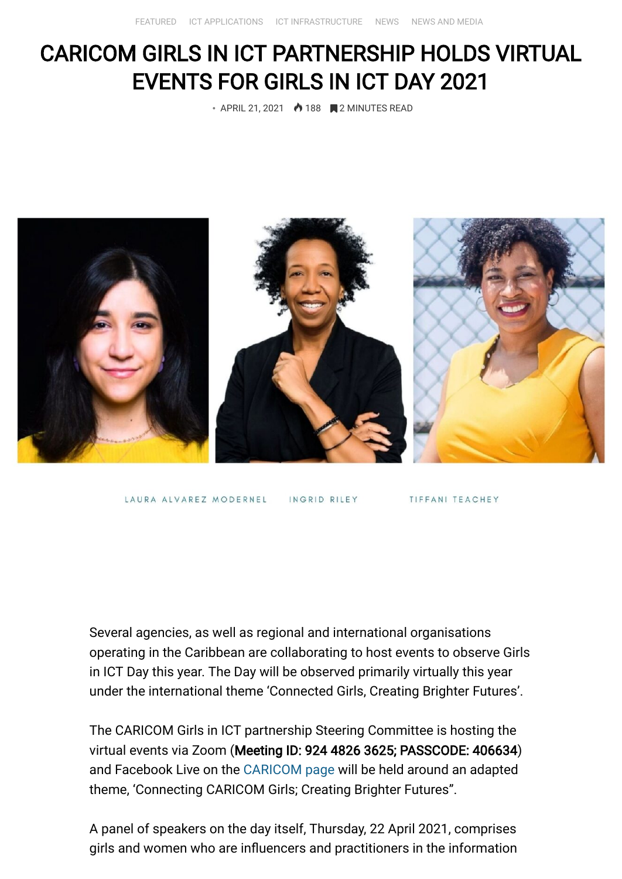## CARICOM GIRLS IN ICT PARTNERSHIP HOLDS VIRTUAL EVENTS FOR GIRLS IN ICT DAY 2021

• APRIL 21, 2021 **•** 188 **2 MINUTES READ** 



LAURA ALVAREZ MODERNEL

INGRID RILEY

TIFFANI TEACHEY

Several agencies, as well as regional and international organisations operating in the Caribbean are collaborating to host events to observe Girls in ICT Day this year. The Day will be observed primarily virtually this year under the international theme 'Connected Girls, Creating Brighter Futures'.

The CARICOM Girls in ICT partnership Steering Committee is hosting the virtual events via Zoom (Meeting ID: 924 4826 3625; PASSCODE: 406634) and Facebook Live on the [CARICOM page](https://www.facebook.com/caricom.org) will be held around an adapted theme, 'Connecting CARICOM Girls; Creating Brighter Futures".

A panel of speakers on the day itself, Thursday, 22 April 2021, comprises girls and women who are influencers and practitioners in the information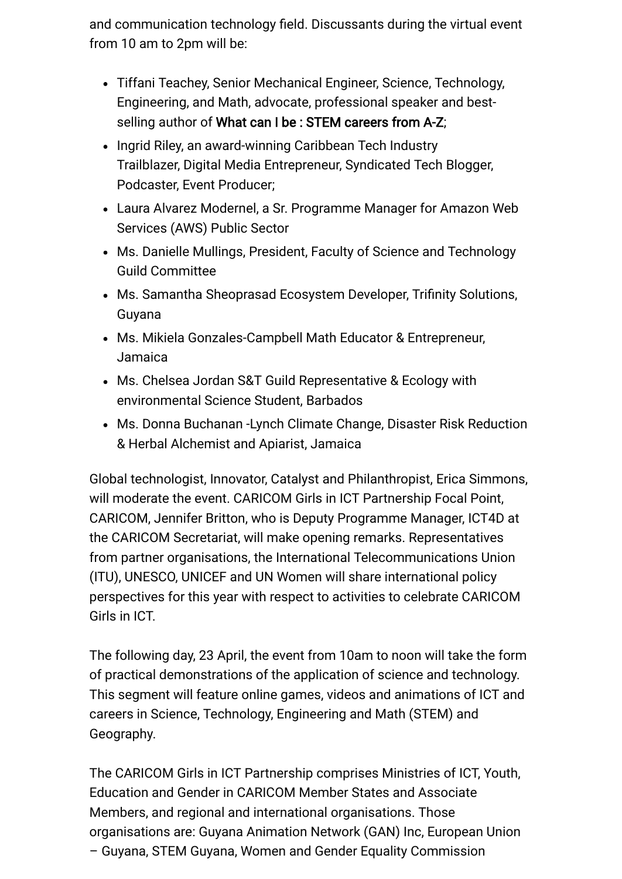and communication technology field. Discussants during the virtual event from 10 am to 2pm will be:

- Tiffani Teachey, Senior Mechanical Engineer, Science, Technology, Engineering, and Math, advocate, professional speaker and bestselling author of What can I be : STEM careers from A-Z;
- Ingrid Riley, an award-winning Caribbean Tech Industry Trailblazer, Digital Media Entrepreneur, Syndicated Tech Blogger, Podcaster, Event Producer;
- Laura Alvarez Modernel, a Sr. Programme Manager for Amazon Web Services (AWS) Public Sector
- Ms. Danielle Mullings, President, Faculty of Science and Technology Guild Committee
- Ms. Samantha Sheoprasad Ecosystem Developer, Trifinity Solutions, Guyana
- Ms. Mikiela Gonzales-Campbell Math Educator & Entrepreneur, Jamaica
- Ms. Chelsea Jordan S&T Guild Representative & Ecology with environmental Science Student, Barbados
- Ms. Donna Buchanan -Lynch Climate Change, Disaster Risk Reduction & Herbal Alchemist and Apiarist, Jamaica

Global technologist, Innovator, Catalyst and Philanthropist, Erica Simmons, will moderate the event. CARICOM Girls in ICT Partnership Focal Point, CARICOM, Jennifer Britton, who is Deputy Programme Manager, ICT4D at the CARICOM Secretariat, will make opening remarks. Representatives from partner organisations, the International Telecommunications Union (ITU), UNESCO, UNICEF and UN Women will share international policy perspectives for this year with respect to activities to celebrate CARICOM Girls in ICT.

The following day, 23 April, the event from 10am to noon will take the form of practical demonstrations of the application of science and technology. This segment will feature online games, videos and animations of ICT and careers in Science, Technology, Engineering and Math (STEM) and Geography.

The CARICOM Girls in ICT Partnership comprises Ministries of ICT, Youth, Education and Gender in CARICOM Member States and Associate Members, and regional and international organisations. Those organisations are: Guyana Animation Network (GAN) Inc, European Union – Guyana, STEM Guyana, Women and Gender Equality Commission